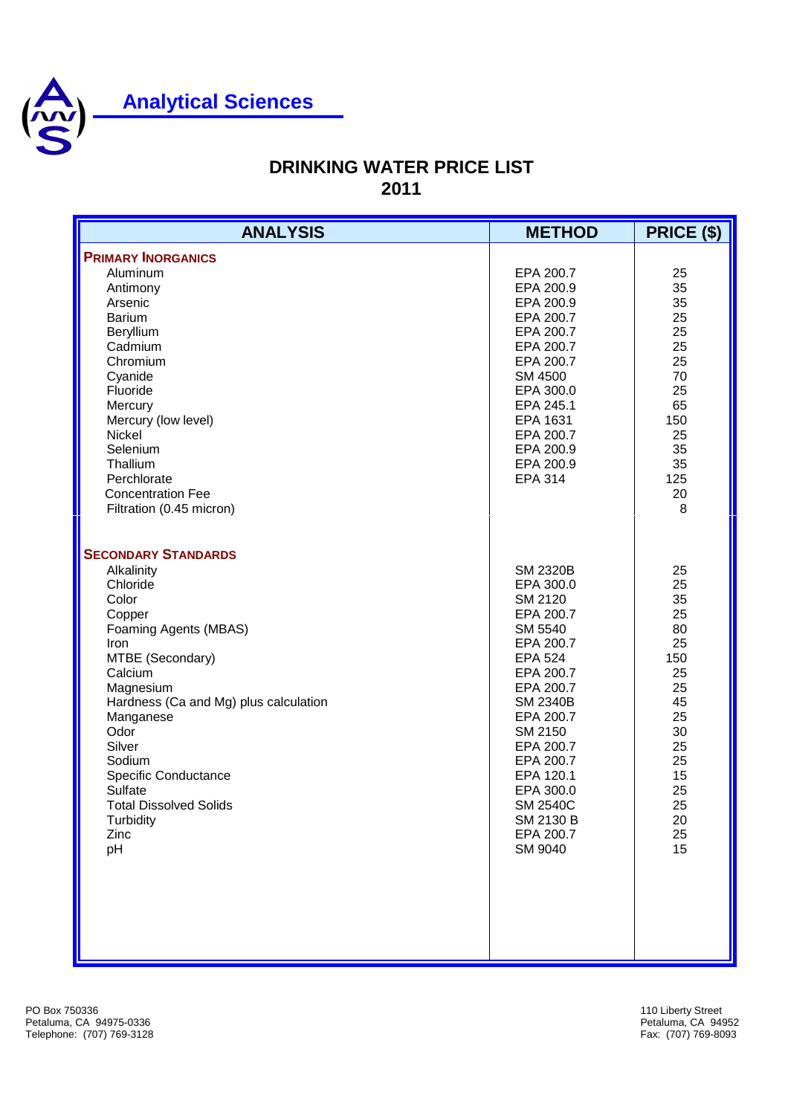

## **Analytical Sciences**

## **DRINKING WATER PRICE LIST 2011**

| <b>ANALYSIS</b>                                                                                                                                                                                                                                                                                                                       | <b>METHOD</b>                                                                                                                                                                                                                                                                   | PRICE (\$)                                                                                                            |
|---------------------------------------------------------------------------------------------------------------------------------------------------------------------------------------------------------------------------------------------------------------------------------------------------------------------------------------|---------------------------------------------------------------------------------------------------------------------------------------------------------------------------------------------------------------------------------------------------------------------------------|-----------------------------------------------------------------------------------------------------------------------|
| <b>PRIMARY INORGANICS</b><br>Aluminum<br>Antimony<br>Arsenic<br><b>Barium</b><br>Beryllium<br>Cadmium<br>Chromium<br>Cyanide<br>Fluoride<br>Mercury<br>Mercury (low level)<br>Nickel<br>Selenium<br>Thallium<br>Perchlorate<br><b>Concentration Fee</b><br>Filtration (0.45 micron)                                                   | EPA 200.7<br>EPA 200.9<br>EPA 200.9<br>EPA 200.7<br>EPA 200.7<br>EPA 200.7<br>EPA 200.7<br>SM 4500<br>EPA 300.0<br>EPA 245.1<br>EPA 1631<br>EPA 200.7<br>EPA 200.9<br>EPA 200.9<br><b>EPA 314</b>                                                                               | 25<br>35<br>35<br>25<br>25<br>25<br>25<br>70<br>25<br>65<br>150<br>25<br>35<br>35<br>125<br>20<br>8                   |
| <b>SECONDARY STANDARDS</b><br>Alkalinity<br>Chloride<br>Color<br>Copper<br>Foaming Agents (MBAS)<br>Iron<br>MTBE (Secondary)<br>Calcium<br>Magnesium<br>Hardness (Ca and Mg) plus calculation<br>Manganese<br>Odor<br>Silver<br>Sodium<br>Specific Conductance<br>Sulfate<br><b>Total Dissolved Solids</b><br>Turbidity<br>Zinc<br>pH | <b>SM 2320B</b><br>EPA 300.0<br>SM 2120<br>EPA 200.7<br>SM 5540<br>EPA 200.7<br><b>EPA 524</b><br>EPA 200.7<br>EPA 200.7<br><b>SM 2340B</b><br>EPA 200.7<br>SM 2150<br>EPA 200.7<br>EPA 200.7<br>EPA 120.1<br>EPA 300.0<br><b>SM 2540C</b><br>SM 2130 B<br>EPA 200.7<br>SM 9040 | 25<br>25<br>35<br>25<br>80<br>25<br>150<br>25<br>25<br>45<br>25<br>30<br>25<br>25<br>15<br>25<br>25<br>20<br>25<br>15 |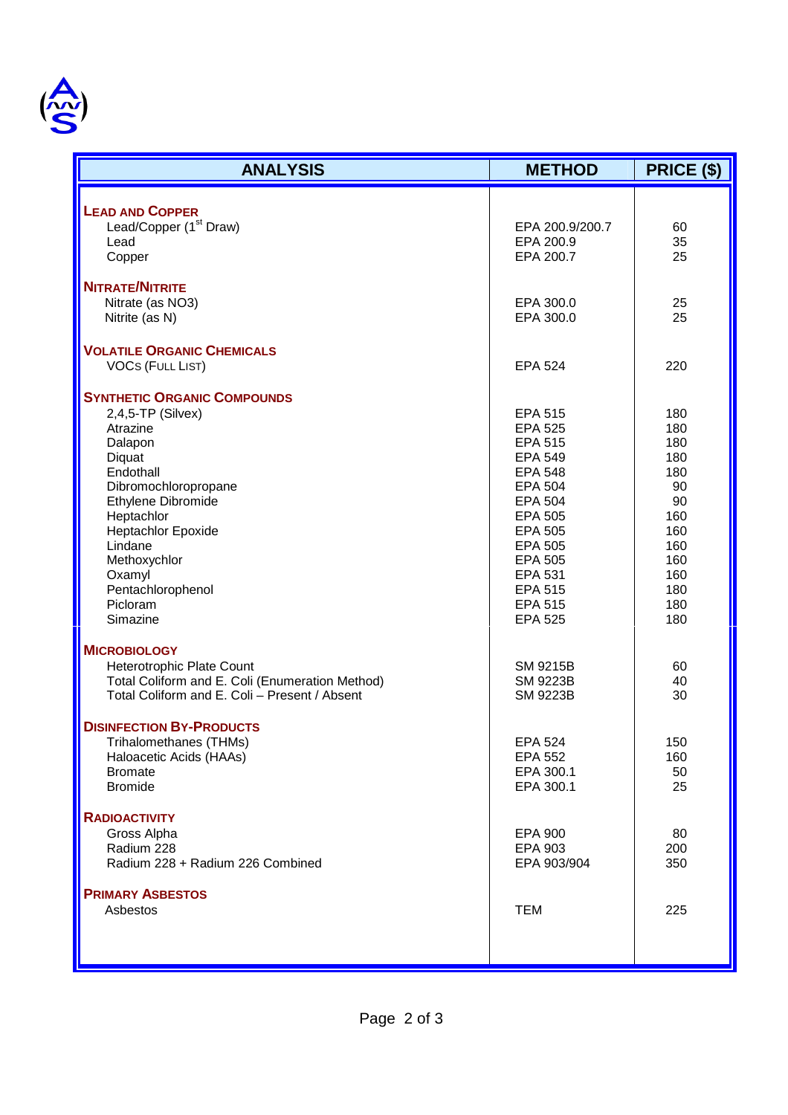

| <b>ANALYSIS</b>                                 | <b>METHOD</b>   | PRICE (\$) |
|-------------------------------------------------|-----------------|------------|
|                                                 |                 |            |
| <b>LEAD AND COPPER</b>                          |                 |            |
| Lead/Copper (1 <sup>st</sup> Draw)              | EPA 200.9/200.7 | 60         |
| Lead                                            | EPA 200.9       | 35         |
| Copper                                          | EPA 200.7       | 25         |
| <b>NITRATE/NITRITE</b>                          |                 |            |
| Nitrate (as NO3)                                | EPA 300.0       | 25         |
| Nitrite (as N)                                  | EPA 300.0       | 25         |
| <b>VOLATILE ORGANIC CHEMICALS</b>               |                 |            |
| <b>VOCS (FULL LIST)</b>                         | <b>EPA 524</b>  | 220        |
| <b>SYNTHETIC ORGANIC COMPOUNDS</b>              |                 |            |
| $2,4,5$ -TP (Silvex)                            | <b>EPA 515</b>  | 180        |
| Atrazine                                        | <b>EPA 525</b>  | 180        |
| Dalapon                                         | <b>EPA 515</b>  | 180        |
| Diquat                                          | <b>EPA 549</b>  | 180        |
| Endothall                                       | <b>EPA 548</b>  | 180        |
| Dibromochloropropane                            | <b>EPA 504</b>  | 90         |
| Ethylene Dibromide                              | <b>EPA 504</b>  | 90         |
| Heptachlor                                      | <b>EPA 505</b>  | 160        |
| Heptachlor Epoxide                              | <b>EPA 505</b>  | 160        |
| Lindane                                         | <b>EPA 505</b>  | 160        |
| Methoxychlor                                    | <b>EPA 505</b>  | 160        |
| Oxamyl                                          | <b>EPA 531</b>  | 160        |
| Pentachlorophenol                               | <b>EPA 515</b>  | 180        |
| Picloram                                        | <b>EPA 515</b>  | 180        |
| Simazine                                        | <b>EPA 525</b>  | 180        |
| <b>MICROBIOLOGY</b>                             |                 |            |
| Heterotrophic Plate Count                       | SM 9215B        | 60         |
| Total Coliform and E. Coli (Enumeration Method) | <b>SM 9223B</b> | 40         |
| Total Coliform and E. Coli - Present / Absent   | <b>SM 9223B</b> | 30         |
| <b>DISINFECTION BY-PRODUCTS</b>                 |                 |            |
| Trihalomethanes (THMs)                          | <b>EPA 524</b>  | 150        |
| Haloacetic Acids (HAAs)                         | <b>EPA 552</b>  | 160        |
| <b>Bromate</b>                                  | EPA 300.1       | 50         |
| <b>Bromide</b>                                  | EPA 300.1       | 25         |
| <b>RADIOACTIVITY</b>                            |                 |            |
| Gross Alpha                                     | <b>EPA 900</b>  | 80         |
| Radium 228                                      | EPA 903         | 200        |
| Radium 228 + Radium 226 Combined                | EPA 903/904     | 350        |
|                                                 |                 |            |
| <b>PRIMARY ASBESTOS</b>                         |                 |            |
| Asbestos                                        | <b>TEM</b>      | 225        |
|                                                 |                 |            |
|                                                 |                 |            |
|                                                 |                 |            |